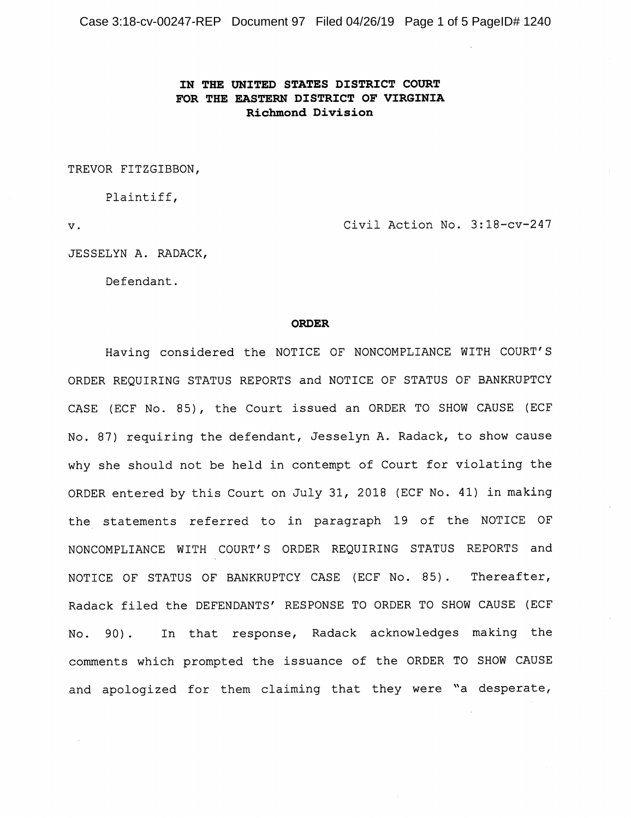Case 3:18-cv-00247-REP Document 97 Filed 04/26/19 Page 1 of 5 PageID# 1240

## IN THE UNITED STATES DISTRICT COURT FOR THE EASTERN DISTRICT OF VIRGINIA Richmond Division

TREVOR FITZGIBBON,

Plaintiff,

V.

Civil Action No. 3:18-cv-247

JESSELYN A. RADACK,

Defendant.

## ORDER

Having considered the NOTICE OF NONCOMPLIANCE WITH COURT'S ORDER REQUIRING STATUS REPORTS and NOTICE OF STATUS OF BANKRUPTCY CASE (ECF No. 85), the Court issued an ORDER TO SHOW CAUSE (ECF No. 87) requiring the defendant, Jesselyn A. Radack, to show cause why she should not be held in contempt of Court for violating the ORDER entered by this Court on July 31, 2018 (ECF No. 41) in making the statements referred to in paragraph 19 of the NOTICE OF NONCOMPLIANCE WITH COURT'S ORDER REQUIRING STATUS REPORTS and NOTICE OF STATUS OF BANKRUPTCY CASE (ECF No. 85) . Thereafter, Radack filed the DEFENDANTS' RESPONSE TO ORDER TO SHOW CAUSE (ECF No. 90). In that response, Radack acknowledges making the comments which prompted the issuance of the ORDER TO SHOW CAUSE and apologized for them claiming that they were "a desperate.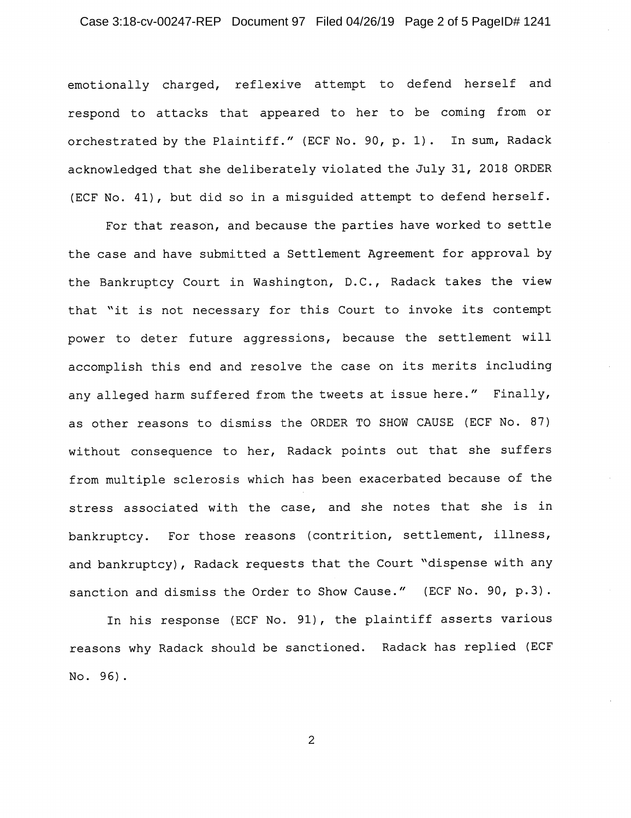## Case 3:18-cv-00247-REP Document 97 Filed 04/26/19 Page 2 of 5 PageID# 1241

emotionally charged, reflexive attempt to defend herself and respond to attacks that appeared to her to be coming from or orchestrated by the Plaintiff." (ECF No. 90, p. 1) . In sum, Radack acknowledged that she deliberately violated the July 31, 2018 ORDER (ECF No. 41), but did so in a misguided attempt to defend herself.

For that reason, and because the parties have worked to settle the case and have submitted a Settlement Agreement for approval by the Bankruptcy Court in Washington, D.C., Radack takes the view that "it is not necessary for this Court to invoke its contempt power to deter future aggressions, because the settlement will accomplish this end and resolve the case on its merits including any alleged harm suffered from the tweets at issue here." Finally, as other reasons to dismiss the ORDER TO SHOW CAUSE (ECF No. 87) without consequence to her, Radack points out that she suffers from multiple sclerosis which has been exacerbated because of the stress associated with the case, and she notes that she is in bankruptcy. For those reasons (contrition, settlement, illness, and bankruptcy) , Radack requests that the Court "dispense with any sanction and dismiss the Order to Show Cause." (ECF No. 90, p.3).

In his response (ECF No. 91), the plaintiff asserts various reasons why Radack should be sanctioned. Radack has replied (ECF No. 95) .

 $\overline{2}$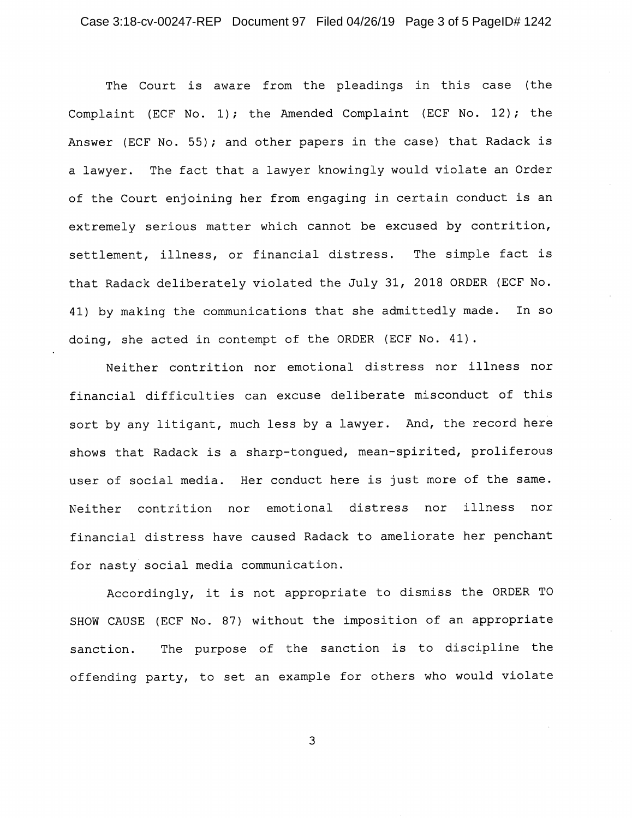The Court is aware from the pleadings in this case (the Complaint (ECF No. 1); the Amended Complaint (ECF No. 12); the Answer (ECF No. 55); and other papers in the case) that Radack is a lawyer. The fact that a lawyer knowingly would violate an Order of the Court enjoining her from engaging in certain conduct is an extremely serious matter which cannot be excused by contrition, settlement, illness, or financial distress. The simple fact is that Radack deliberately violated the July 31, 2018 ORDER (ECF No. 41) by making the communications that she admittedly made. In so doing, she acted in contempt of the ORDER (ECF No. 41).

Neither contrition nor emotional distress nor illness nor financial difficulties can excuse deliberate misconduct of this sort by any litigant, much less by a lawyer. And, the record here shows that Radack is a sharp-tongued, mean-spirited, proliferous user of social media. Her conduct here is just more of the same. Neither contrition nor emotional distress nor illness nor financial distress have caused Radack to ameliorate her penchant for nasty social media communication.

Accordingly, it is not appropriate to dismiss the ORDER TO SHOW CAUSE (ECF No. 87) without the imposition of an appropriate sanction. The purpose of the sanction is to discipline the offending party, to set an example for others who would violate

 $\overline{3}$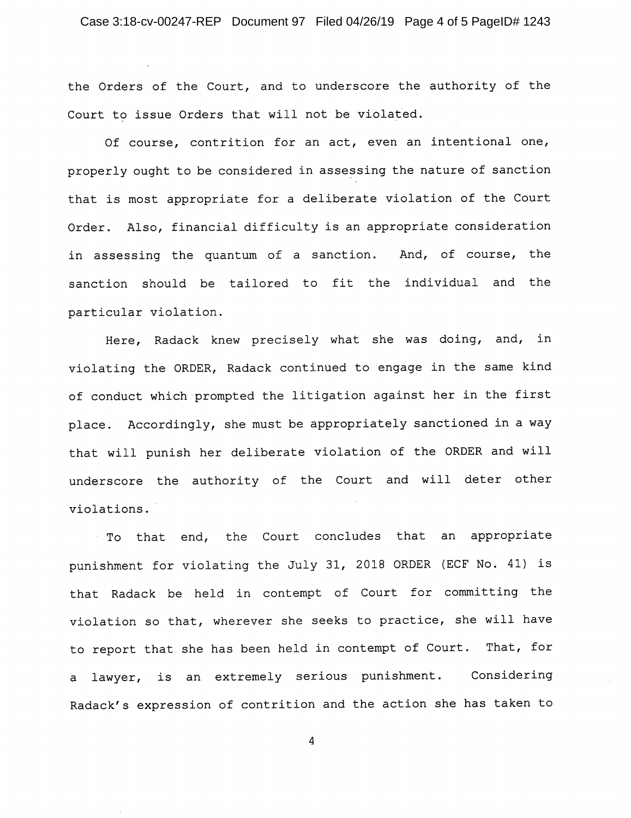the Orders of the Court, and to underscore the authority of the Court to issue Orders that will not be violated.

Of course, contrition for an act, even an intentional one, properly ought to be considered in assessing the nature of sanction that is most appropriate for a deliberate violation of the Court Order, Also, financial difficulty is an appropriate consideration in assessing the quantum of a sanction. And, of course, the sanction should be tailored to fit the individual and the particular violation.

Here, Radack knew precisely what she was doing, and, in violating the ORDER, Radack continued to engage in the same kind of conduct which prompted the litigation against her in the first place. Accordingly, she must be appropriately sanctioned in a way that will punish her deliberate violation of the ORDER and will underscore the authority of the Court and will deter other violations.

To that end, the Court concludes that an appropriate punishment for violating the July 31, 2018 ORDER (ECF No. 41) is that Radack be held in contempt of Court for committing the violation so that, wherever she seeks to practice, she will have to report that she has been held in contempt of Court. That, for a lawyer, is an extremely serious punishment. Considering Radack's expression of contrition and the action she has taken to

 $\overline{4}$